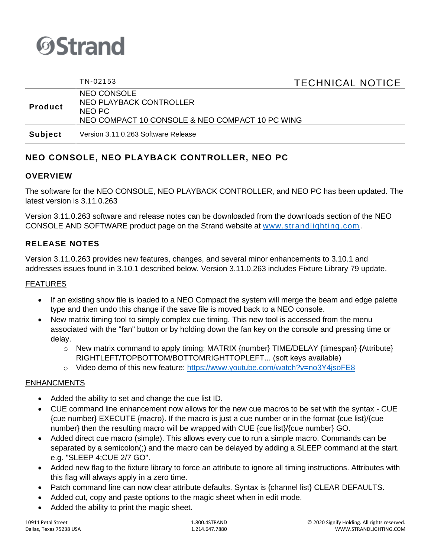## **OStrand**

|                | TN-02153<br><b>TECHNICAL NOTICE</b>                                                                 |
|----------------|-----------------------------------------------------------------------------------------------------|
| <b>Product</b> | NEO CONSOLE<br>NEO PLAYBACK CONTROLLER<br>NEO PC<br>NEO COMPACT 10 CONSOLE & NEO COMPACT 10 PC WING |
| <b>Subject</b> | Version 3.11.0.263 Software Release                                                                 |

### **NEO CONSOLE, NEO PLAYBACK CONTROLLER, NEO PC**

#### **OVERVIEW**

The software for the NEO CONSOLE, NEO PLAYBACK CONTROLLER, and NEO PC has been updated. The latest version is 3.11.0.263

Version 3.11.0.263 software and release notes can be downloaded from the downloads section of the NEO CONSOLE AND SOFTWARE product page on the Strand website at [www.strandlighting.com.](http://www.strandlighting.com/)

#### **RELEASE NOTES**

Version 3.11.0.263 provides new features, changes, and several minor enhancements to 3.10.1 and addresses issues found in 3.10.1 described below. Version 3.11.0.263 includes Fixture Library 79 update.

#### FEATURES

- If an existing show file is loaded to a NEO Compact the system will merge the beam and edge palette type and then undo this change if the save file is moved back to a NEO console.
- New matrix timing tool to simply complex cue timing. This new tool is accessed from the menu associated with the "fan" button or by holding down the fan key on the console and pressing time or delay.
	- o New matrix command to apply timing: MATRIX {number} TIME/DELAY {timespan} {Attribute} RIGHTLEFT/TOPBOTTOM/BOTTOMRIGHTTOPLEFT... (soft keys available)
	- o Video demo of this new feature:<https://www.youtube.com/watch?v=no3Y4jsoFE8>

#### ENHANCMENTS

- Added the ability to set and change the cue list ID.
- CUE command line enhancement now allows for the new cue macros to be set with the syntax CUE {cue number} EXECUTE {macro}. If the macro is just a cue number or in the format {cue list}/{cue number} then the resulting macro will be wrapped with CUE {cue list}/{cue number} GO.
- Added direct cue macro (simple). This allows every cue to run a simple macro. Commands can be separated by a semicolon(;) and the macro can be delayed by adding a SLEEP command at the start. e.g. "SLEEP 4;CUE 2/7 GO".
- Added new flag to the fixture library to force an attribute to ignore all timing instructions. Attributes with this flag will always apply in a zero time.
- Patch command line can now clear attribute defaults. Syntax is {channel list} CLEAR DEFAULTS.
- Added cut, copy and paste options to the magic sheet when in edit mode.
- Added the ability to print the magic sheet.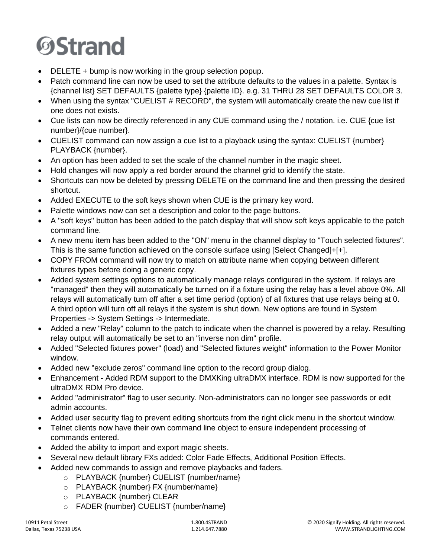# **OStrand**

- DELETE + bump is now working in the group selection popup.
- Patch command line can now be used to set the attribute defaults to the values in a palette. Syntax is {channel list} SET DEFAULTS {palette type} {palette ID}. e.g. 31 THRU 28 SET DEFAULTS COLOR 3.
- When using the syntax "CUELIST # RECORD", the system will automatically create the new cue list if one does not exists.
- Cue lists can now be directly referenced in any CUE command using the / notation. i.e. CUE {cue list number}/{cue number}.
- CUELIST command can now assign a cue list to a playback using the syntax: CUELIST {number} PLAYBACK {number}.
- An option has been added to set the scale of the channel number in the magic sheet.
- Hold changes will now apply a red border around the channel grid to identify the state.
- Shortcuts can now be deleted by pressing DELETE on the command line and then pressing the desired shortcut.
- Added EXECUTE to the soft keys shown when CUE is the primary key word.
- Palette windows now can set a description and color to the page buttons.
- A "soft keys" button has been added to the patch display that will show soft keys applicable to the patch command line.
- A new menu item has been added to the "ON" menu in the channel display to "Touch selected fixtures". This is the same function achieved on the console surface using [Select Changed]+[+].
- COPY FROM command will now try to match on attribute name when copying between different fixtures types before doing a generic copy.
- Added system settings options to automatically manage relays configured in the system. If relays are "managed" then they will automatically be turned on if a fixture using the relay has a level above 0%. All relays will automatically turn off after a set time period (option) of all fixtures that use relays being at 0. A third option will turn off all relays if the system is shut down. New options are found in System Properties -> System Settings -> Intermediate.
- Added a new "Relay" column to the patch to indicate when the channel is powered by a relay. Resulting relay output will automatically be set to an "inverse non dim" profile.
- Added "Selected fixtures power" (load) and "Selected fixtures weight" information to the Power Monitor window.
- Added new "exclude zeros" command line option to the record group dialog.
- Enhancement Added RDM support to the DMXKing ultraDMX interface. RDM is now supported for the ultraDMX RDM Pro device.
- Added "administrator" flag to user security. Non-administrators can no longer see passwords or edit admin accounts.
- Added user security flag to prevent editing shortcuts from the right click menu in the shortcut window.
- Telnet clients now have their own command line object to ensure independent processing of commands entered.
- Added the ability to import and export magic sheets.
- Several new default library FXs added: Color Fade Effects, Additional Position Effects.
- Added new commands to assign and remove playbacks and faders.
	- o PLAYBACK {number} CUELIST {number/name}
	- o PLAYBACK {number} FX {number/name}
	- o PLAYBACK {number} CLEAR
	- o FADER {number} CUELIST {number/name}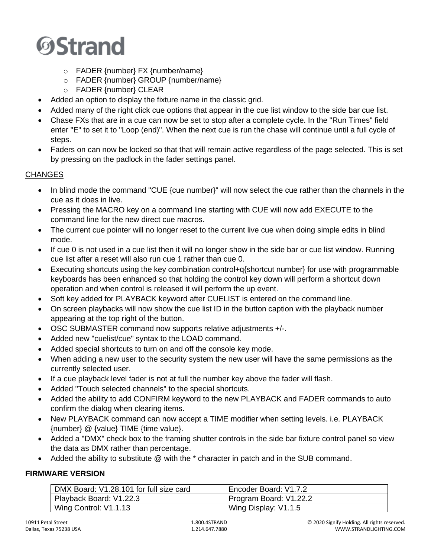

- o FADER {number} FX {number/name}
- o FADER {number} GROUP {number/name}
- o FADER {number} CLEAR
- Added an option to display the fixture name in the classic grid.
- Added many of the right click cue options that appear in the cue list window to the side bar cue list.
- Chase FXs that are in a cue can now be set to stop after a complete cycle. In the "Run Times" field enter "E" to set it to "Loop (end)". When the next cue is run the chase will continue until a full cycle of steps.
- Faders on can now be locked so that that will remain active regardless of the page selected. This is set by pressing on the padlock in the fader settings panel.

#### **CHANGES**

- In blind mode the command "CUE {cue number}" will now select the cue rather than the channels in the cue as it does in live.
- Pressing the MACRO key on a command line starting with CUE will now add EXECUTE to the command line for the new direct cue macros.
- The current cue pointer will no longer reset to the current live cue when doing simple edits in blind mode.
- If cue 0 is not used in a cue list then it will no longer show in the side bar or cue list window. Running cue list after a reset will also run cue 1 rather than cue 0.
- Executing shortcuts using the key combination control+q{shortcut number} for use with programmable keyboards has been enhanced so that holding the control key down will perform a shortcut down operation and when control is released it will perform the up event.
- Soft key added for PLAYBACK keyword after CUELIST is entered on the command line.
- On screen playbacks will now show the cue list ID in the button caption with the playback number appearing at the top right of the button.
- OSC SUBMASTER command now supports relative adjustments +/-.
- Added new "cuelist/cue" syntax to the LOAD command.
- Added special shortcuts to turn on and off the console key mode.
- When adding a new user to the security system the new user will have the same permissions as the currently selected user.
- If a cue playback level fader is not at full the number key above the fader will flash.
- Added "Touch selected channels" to the special shortcuts.
- Added the ability to add CONFIRM keyword to the new PLAYBACK and FADER commands to auto confirm the dialog when clearing items.
- New PLAYBACK command can now accept a TIME modifier when setting levels. i.e. PLAYBACK {number} @ {value} TIME {time value}.
- Added a "DMX" check box to the framing shutter controls in the side bar fixture control panel so view the data as DMX rather than percentage.
- Added the ability to substitute @ with the \* character in patch and in the SUB command.

#### **FIRMWARE VERSION**

| DMX Board: V1.28.101 for full size card | Encoder Board: V1.7.2  |
|-----------------------------------------|------------------------|
| Playback Board: V1.22.3                 | Program Board: V1.22.2 |
| Wing Control: V1.1.13                   | Wing Display: V1.1.5   |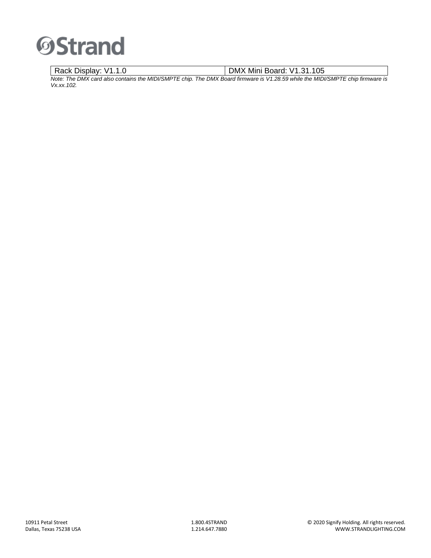

Rack Display: V1.1.0 DMX Mini Board: V1.31.105

*Note: The DMX card also contains the MIDI/SMPTE chip. The DMX Board firmware is V1.28.59 while the MIDI/SMPTE chip firmware is Vx.xx.102.*